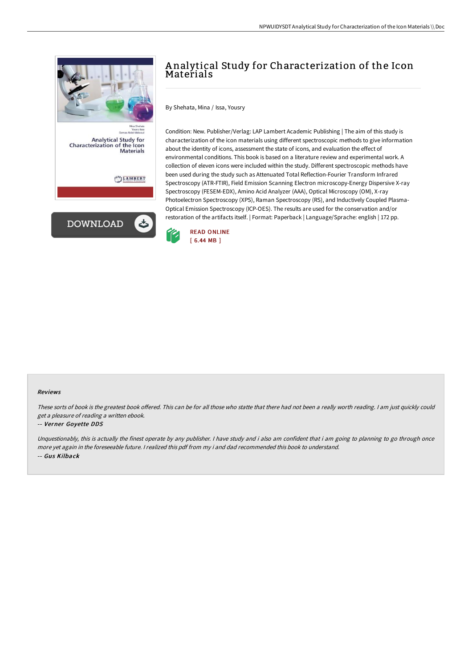

# A nalytical Study for Characterization of the Icon Materials

By Shehata, Mina / Issa, Yousry

Condition: New. Publisher/Verlag: LAP Lambert Academic Publishing | The aim of this study is characterization of the icon materials using different spectroscopic methods to give information about the identity of icons, assessment the state of icons, and evaluation the effect of environmental conditions. This book is based on a literature review and experimental work. A collection of eleven icons were included within the study. Different spectroscopic methods have been used during the study such as Attenuated Total Reflection-Fourier Transform Infrared Spectroscopy (ATR-FTIR), Field Emission Scanning Electron microscopy-Energy Dispersive X-ray Spectroscopy (FESEM-EDX), Amino Acid Analyzer (AAA), Optical Microscopy (OM), X-ray Photoelectron Spectroscopy (XPS), Raman Spectroscopy (RS), and Inductively Coupled Plasma-Optical Emission Spectroscopy (ICP-OES). The results are used for the conservation and/or restoration of the artifacts itself. | Format: Paperback | Language/Sprache: english | 172 pp.



#### Reviews

These sorts of book is the greatest book offered. This can be for all those who statte that there had not been a really worth reading. I am just quickly could get <sup>a</sup> pleasure of reading <sup>a</sup> written ebook.

#### -- Verner Goyette DDS

Unquestionably, this is actually the finest operate by any publisher. I have study and i also am confident that i am going to planning to go through once more yet again in the foreseeable future. <sup>I</sup> realized this pdf from my i and dad recommended this book to understand. -- Gus Kilback